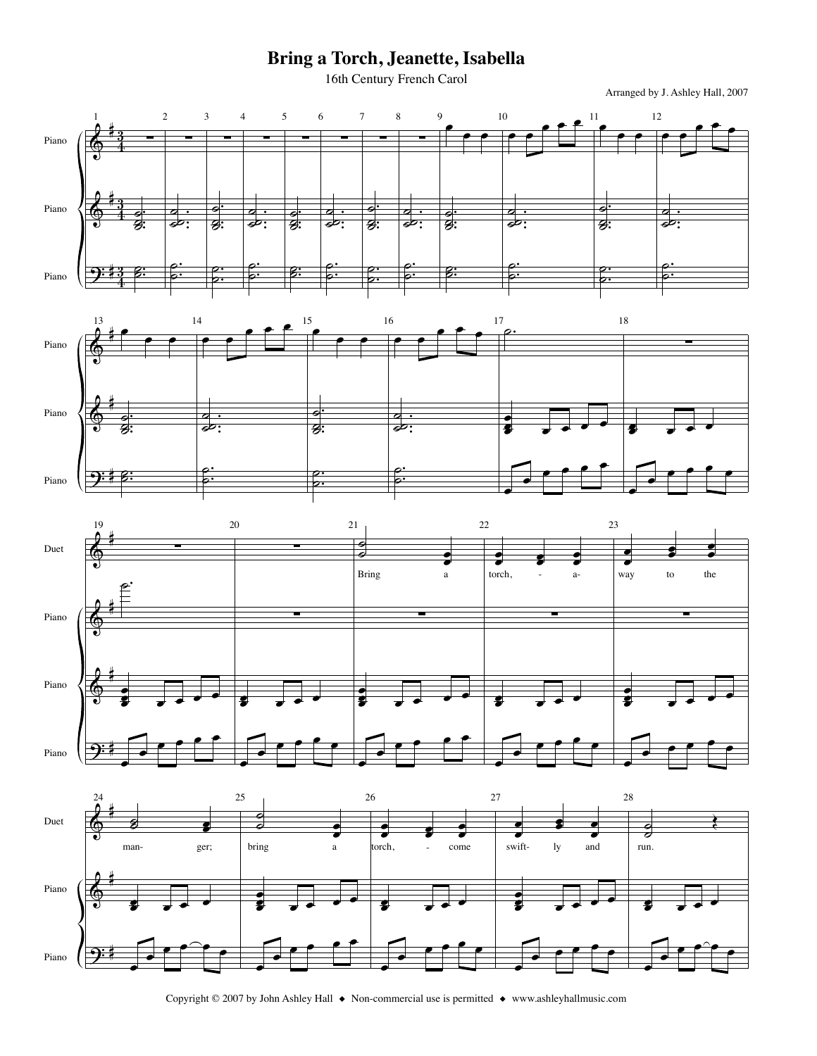## Bring a Torch, Jeanette, Isabella

16th Century French Carol

Arranged by J. Ashley Hall, 2007







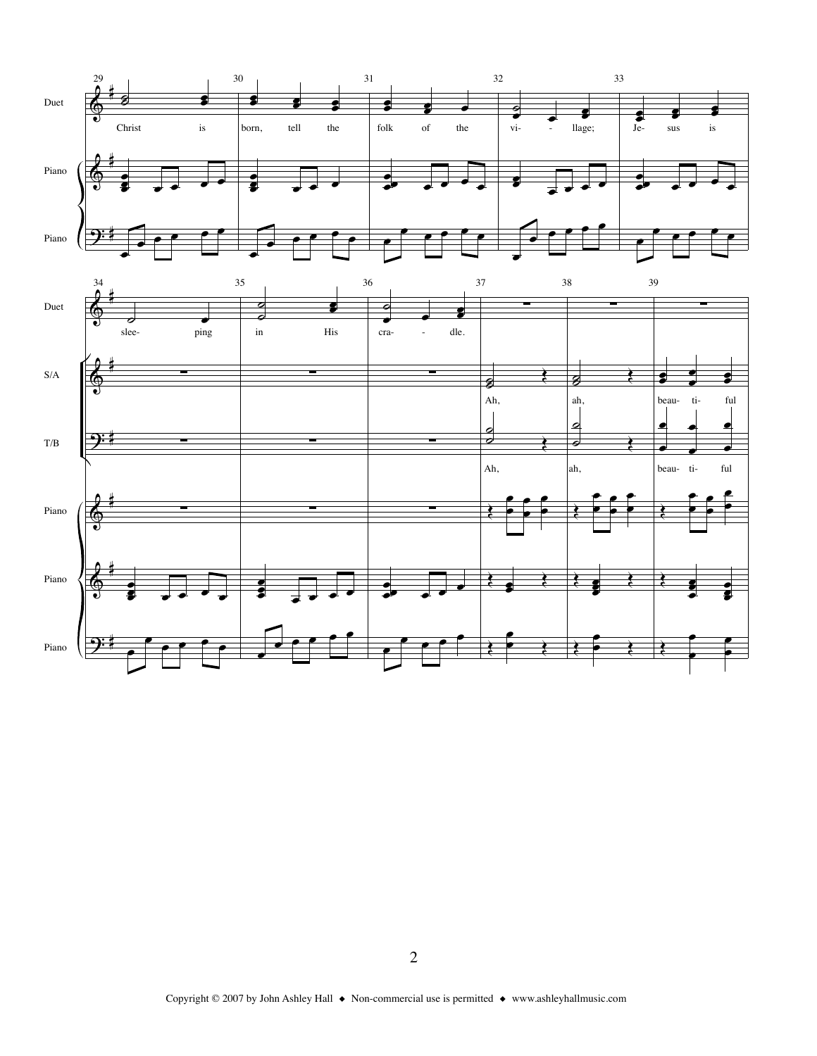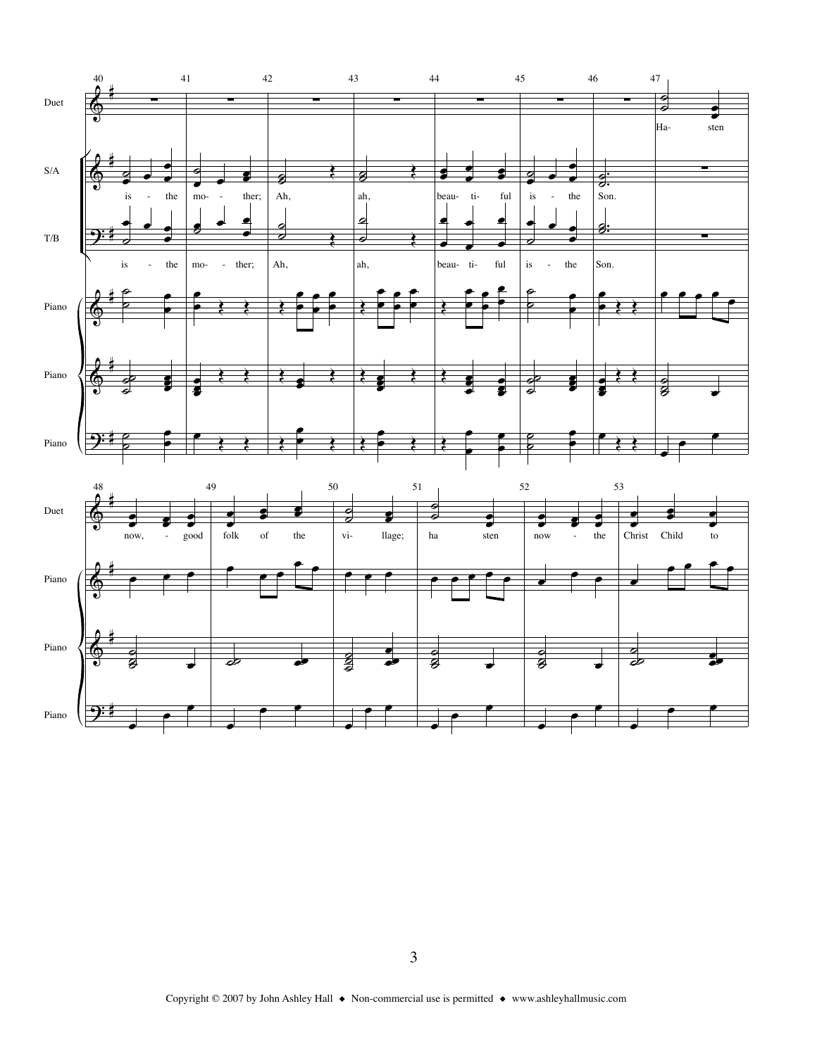

Piano

भृः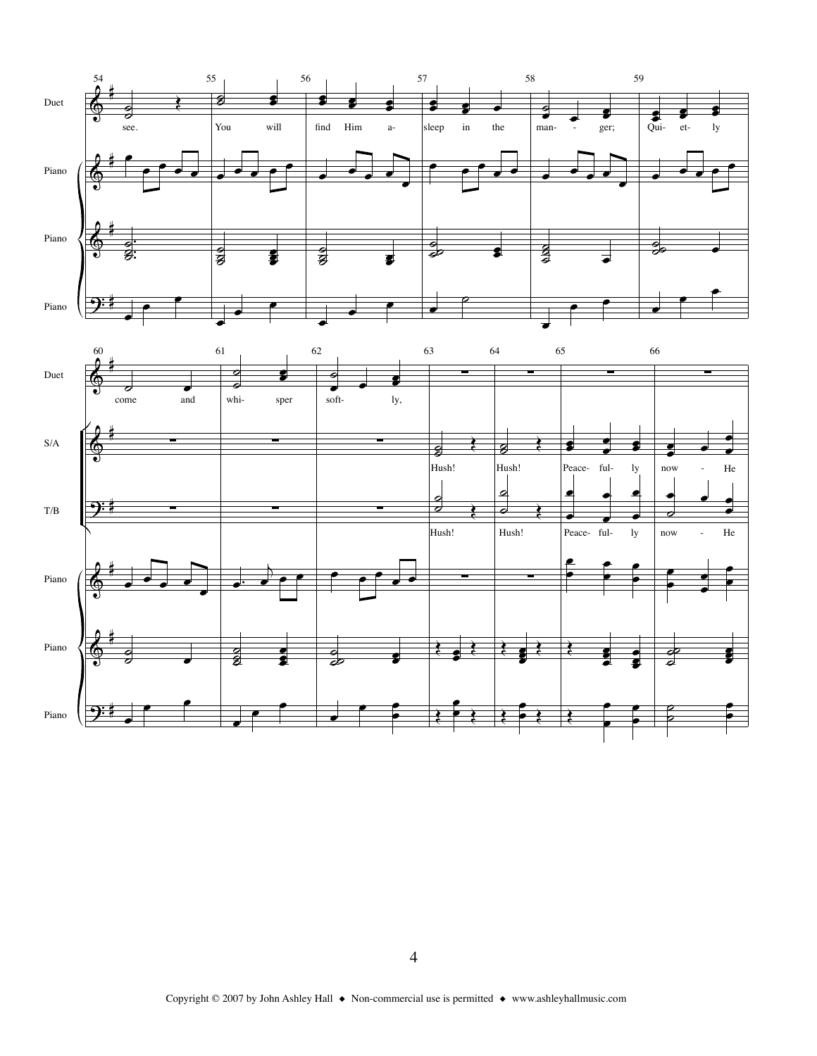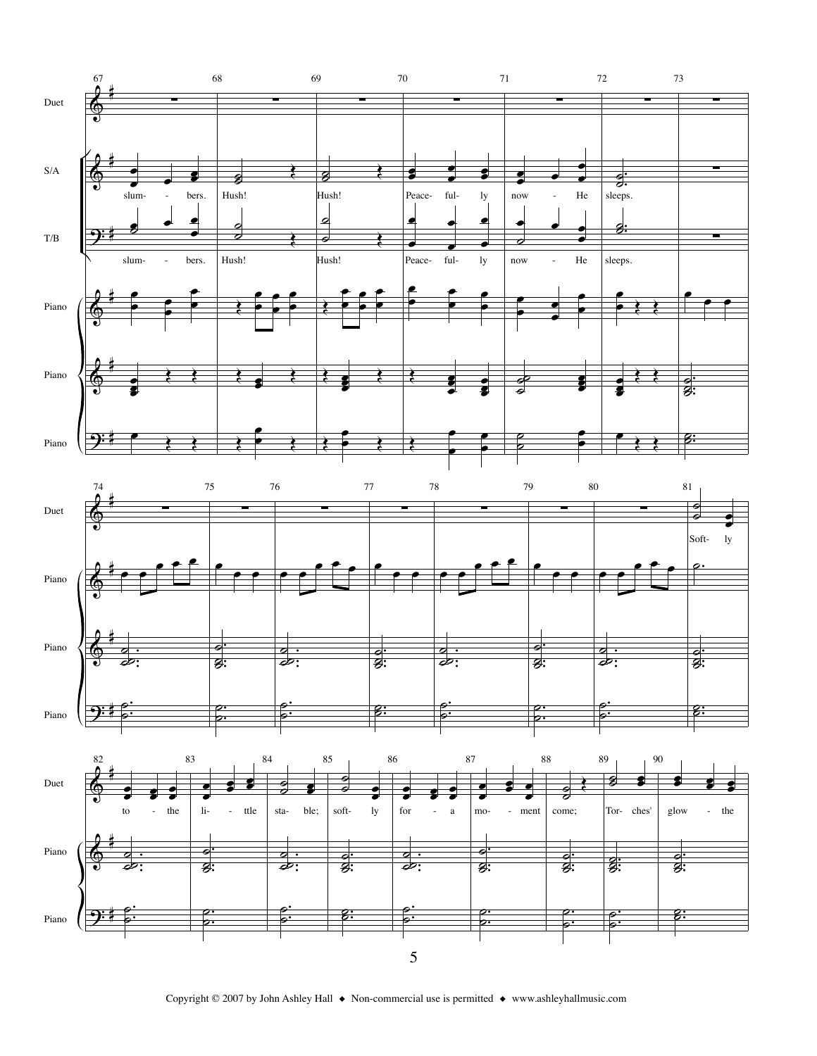

Copyright © 2007 by John Ashley Hall ♦ Non-commercial use is permitted ♦ www.ashleyhallmusic.com